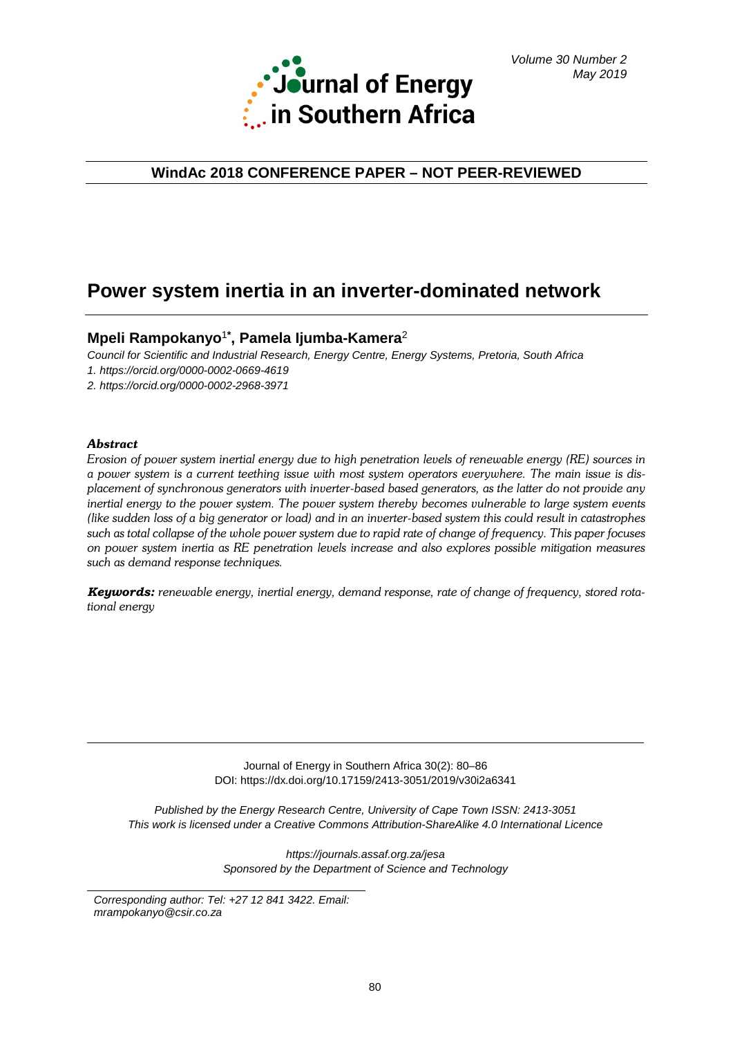

# **WindAc 2018 CONFERENCE PAPER – NOT PEER-REVIEWED**

# **Power system inertia in an inverter-dominated network**

# **Mpeli Rampokanyo**<sup>1</sup>**\* , Pamela Ijumba-Kamera**<sup>2</sup>

*Council for Scientific and Industrial Research, Energy Centre, Energy Systems, Pretoria, South Africa 1.<https://orcid.org/0000-0002-0669-4619>*

*2.<https://orcid.org/0000-0002-2968-3971>*

# *Abstract*

*Erosion of power system inertial energy due to high penetration levels of renewable energy (RE) sources in a power system is a current teething issue with most system operators everywhere. The main issue is displacement of synchronous generators with inverter-based based generators, as the latter do not provide any inertial energy to the power system. The power system thereby becomes vulnerable to large system events (like sudden loss of a big generator or load) and in an inverter-based system this could result in catastrophes such as total collapse of the whole power system due to rapid rate of change of frequency. This paper focuses on power system inertia as RE penetration levels increase and also explores possible mitigation measures such as demand response techniques.*

*Keywords: renewable energy, inertial energy, demand response, rate of change of frequency, stored rotational energy*

> Journal of Energy in Southern Africa 30(2): 80–86 DOI: https://dx.doi.org/10.17159/2413-3051/2019/v30i2a6341

*Published by the Energy Research Centre, University of Cape Town ISSN: 2413-3051 This work is licensed under a Creative Commons Attribution-ShareAlike 4.0 International Licence*

> *https://journals.assaf.org.za/jesa Sponsored by the Department of Science and Technology*

*Corresponding author: Tel: +27 12 841 3422. Email: mrampokanyo@csir.co.za*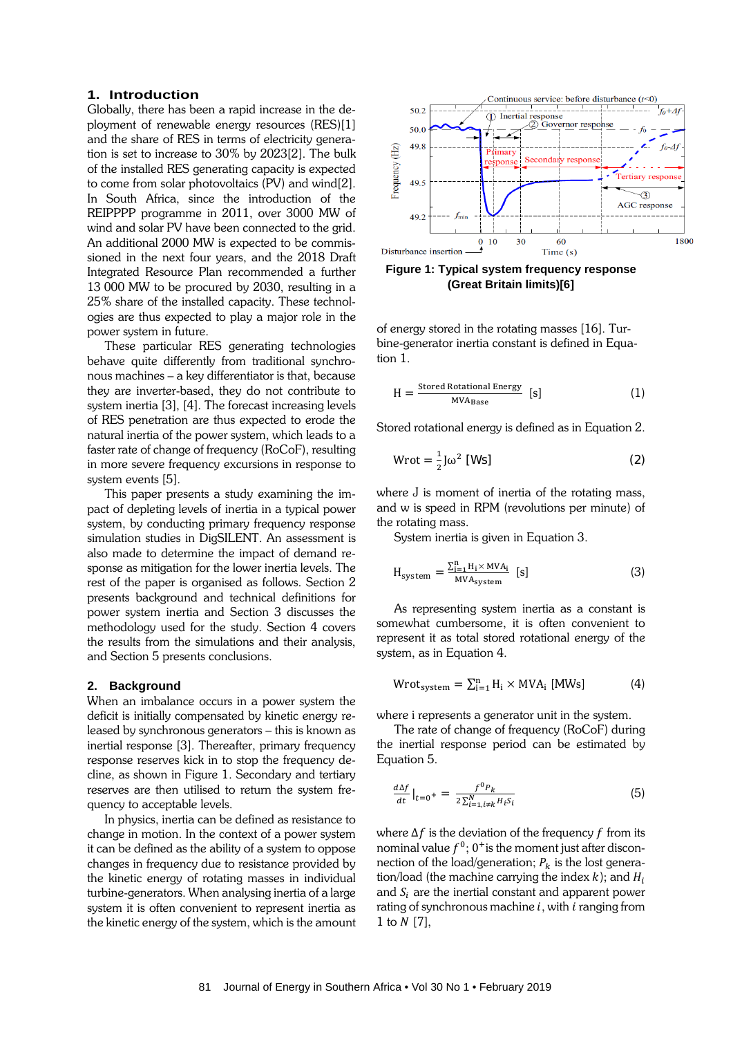## **1. Introduction**

Globally, there has been a rapid increase in the deployment of renewable energy resources (RES)[1] and the share of RES in terms of electricity generation is set to increase to 30% by 2023[2]. The bulk of the installed RES generating capacity is expected to come from solar photovoltaics (PV) and wind[2]. In South Africa, since the introduction of the REIPPPP programme in 2011, over 3000 MW of wind and solar PV have been connected to the grid. An additional 2000 MW is expected to be commissioned in the next four years, and the 2018 Draft Integrated Resource Plan recommended a further 13 000 MW to be procured by 2030, resulting in a 25% share of the installed capacity. These technologies are thus expected to play a major role in the power system in future.

These particular RES generating technologies behave quite differently from traditional synchronous machines – a key differentiator is that, because they are inverter-based, they do not contribute to system inertia [3], [4]. The forecast increasing levels of RES penetration are thus expected to erode the natural inertia of the power system, which leads to a faster rate of change of frequency (RoCoF), resulting in more severe frequency excursions in response to system events [5].

This paper presents a study examining the impact of depleting levels of inertia in a typical power system, by conducting primary frequency response simulation studies in DigSILENT. An assessment is also made to determine the impact of demand response as mitigation for the lower inertia levels. The rest of the paper is organised as follows. Section 2 presents background and technical definitions for power system inertia and Section 3 discusses the methodology used for the study. Section 4 covers the results from the simulations and their analysis, and Section 5 presents conclusions.

#### **2. Background**

When an imbalance occurs in a power system the deficit is initially compensated by kinetic energy released by synchronous generators – this is known as inertial response [3]. Thereafter, primary frequency response reserves kick in to stop the frequency decline, as shown in [Figure 1.](#page-1-0) Secondary and tertiary reserves are then utilised to return the system frequency to acceptable levels.

In physics, inertia can be defined as resistance to change in motion. In the context of a power system it can be defined as the ability of a system to oppose changes in frequency due to resistance provided by the kinetic energy of rotating masses in individual turbine-generators. When analysing inertia of a large system it is often convenient to represent inertia as the kinetic energy of the system, which is the amount



<span id="page-1-0"></span>**Figure 1: Typical system frequency response (Great Britain limits)[6]**

of energy stored in the rotating masses [16]. Turbine-generator inertia constant is defined in Equation 1.

$$
H = \frac{\text{Stored Rotational Energy}}{\text{MVA}_{\text{Base}}} \text{ [s]} \tag{1}
$$

Stored rotational energy is defined as in Equation 2.

$$
Wrot = \frac{1}{2} J\omega^2 [Ws]
$$
 (2)

where J is moment of inertia of the rotating mass, and w is speed in RPM (revolutions per minute) of the rotating mass.

System inertia is given in Equation 3.

$$
H_{system} = \frac{\sum_{i=1}^{n} H_i \times MVA_i}{MVA_{system}} [s]
$$
 (3)

As representing system inertia as a constant is somewhat cumbersome, it is often convenient to represent it as total stored rotational energy of the system, as in Equation 4.

$$
Wrot_{\text{system}} = \sum_{i=1}^{n} H_i \times MVA_i \text{ [MWs]} \tag{4}
$$

where i represents a generator unit in the system.

The rate of change of frequency (RoCoF) during the inertial response period can be estimated by Equation 5.

$$
\frac{d\Delta f}{dt}\Big|_{t=0^+} = \frac{f^0 P_k}{2\sum_{i=1,i\neq k}^N H_i S_i}
$$
(5)

where  $\Delta f$  is the deviation of the frequency f from its nominal value  $f^0$ ;  $0^+$  is the moment just after disconnection of the load/generation;  $P_k$  is the lost generation/load (the machine carrying the index  $k$ ); and  $H_i$ and  $S_i$  are the inertial constant and apparent power rating of synchronous machine  $i$ , with  $i$  ranging from 1 to  $N$  [7],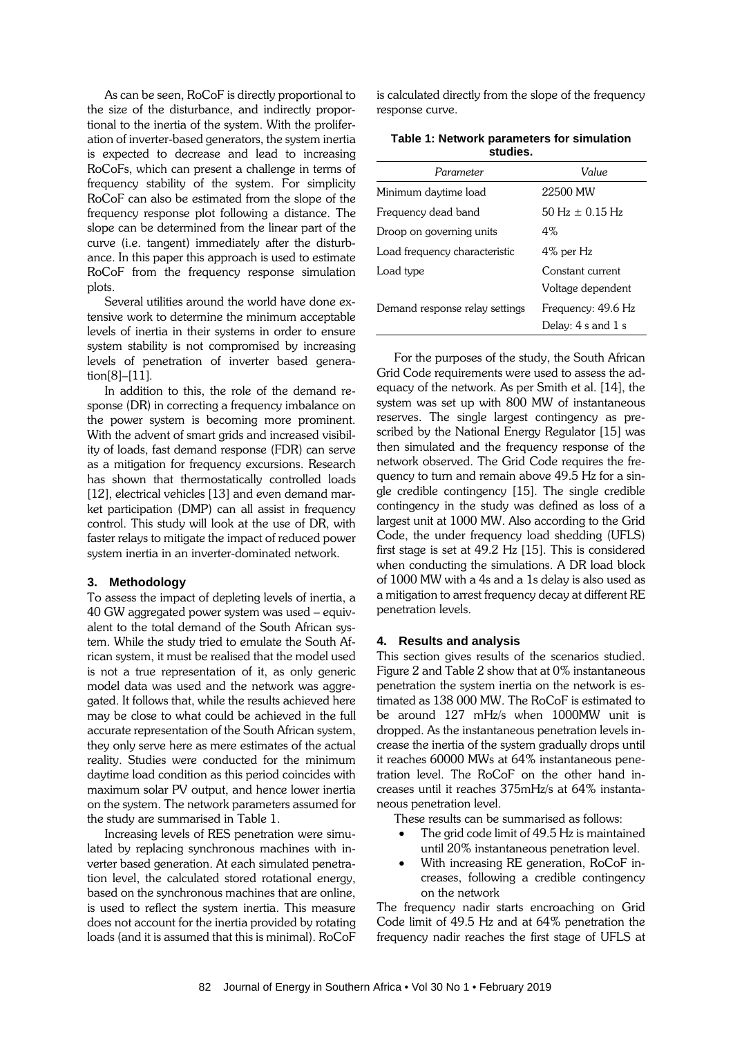As can be seen, RoCoF is directly proportional to the size of the disturbance, and indirectly proportional to the inertia of the system. With the proliferation of inverter-based generators, the system inertia is expected to decrease and lead to increasing RoCoFs, which can present a challenge in terms of frequency stability of the system. For simplicity RoCoF can also be estimated from the slope of the frequency response plot following a distance. The slope can be determined from the linear part of the curve (i.e. tangent) immediately after the disturbance. In this paper this approach is used to estimate RoCoF from the frequency response simulation plots.

Several utilities around the world have done extensive work to determine the minimum acceptable levels of inertia in their systems in order to ensure system stability is not compromised by increasing levels of penetration of inverter based generation[8]–[11]*.*

In addition to this, the role of the demand response (DR) in correcting a frequency imbalance on the power system is becoming more prominent. With the advent of smart grids and increased visibility of loads, fast demand response (FDR) can serve as a mitigation for frequency excursions. Research has shown that thermostatically controlled loads [12], electrical vehicles [13] and even demand market participation (DMP) can all assist in frequency control. This study will look at the use of DR, with faster relays to mitigate the impact of reduced power system inertia in an inverter-dominated network.

#### **3. Methodology**

To assess the impact of depleting levels of inertia, a 40 GW aggregated power system was used – equivalent to the total demand of the South African system. While the study tried to emulate the South African system, it must be realised that the model used is not a true representation of it, as only generic model data was used and the network was aggregated. It follows that, while the results achieved here may be close to what could be achieved in the full accurate representation of the South African system, they only serve here as mere estimates of the actual reality. Studies were conducted for the minimum daytime load condition as this period coincides with maximum solar PV output, and hence lower inertia on the system. The network parameters assumed for the study are summarised in Table 1.

Increasing levels of RES penetration were simulated by replacing synchronous machines with inverter based generation. At each simulated penetration level, the calculated stored rotational energy, based on the synchronous machines that are online, is used to reflect the system inertia. This measure does not account for the inertia provided by rotating loads (and it is assumed that this is minimal). RoCoF is calculated directly from the slope of the frequency response curve.

| Table 1: Network parameters for simulation |
|--------------------------------------------|
| studies.                                   |

| Parameter                      | Value               |  |  |
|--------------------------------|---------------------|--|--|
| Minimum daytime load           | 22500 MW            |  |  |
| Frequency dead band            | 50 Hz $\pm$ 0.15 Hz |  |  |
| Droop on governing units       | $4\%$               |  |  |
| Load frequency characteristic  | 4% per Hz           |  |  |
| Load type                      | Constant current    |  |  |
|                                | Voltage dependent   |  |  |
| Demand response relay settings | Frequency: 49.6 Hz  |  |  |
|                                | Delay: 4 s and 1 s  |  |  |

For the purposes of the study, the South African Grid Code requirements were used to assess the adequacy of the network. As per Smith et al. [14], the system was set up with 800 MW of instantaneous reserves. The single largest contingency as prescribed by the National Energy Regulator [15] was then simulated and the frequency response of the network observed. The Grid Code requires the frequency to turn and remain above 49.5 Hz for a single credible contingency [15]. The single credible contingency in the study was defined as loss of a largest unit at 1000 MW. Also according to the Grid Code, the under frequency load shedding (UFLS) first stage is set at 49.2 Hz [15]. This is considered when conducting the simulations. A DR load block of 1000 MW with a 4s and a 1s delay is also used as a mitigation to arrest frequency decay at different RE penetration levels.

## **4. Results and analysis**

This section gives results of the scenarios studied. Figure 2 and Table 2 show that at 0% instantaneous penetration the system inertia on the network is estimated as 138 000 MW. The RoCoF is estimated to be around 127 mHz/s when 1000MW unit is dropped. As the instantaneous penetration levels increase the inertia of the system gradually drops until it reaches 60000 MWs at 64% instantaneous penetration level. The RoCoF on the other hand increases until it reaches 375mHz/s at 64% instantaneous penetration level.

These results can be summarised as follows:

- The grid code limit of 49.5 Hz is maintained until 20% instantaneous penetration level.
- With increasing RE generation, RoCoF increases, following a credible contingency on the network

The frequency nadir starts encroaching on Grid Code limit of 49.5 Hz and at 64% penetration the frequency nadir reaches the first stage of UFLS at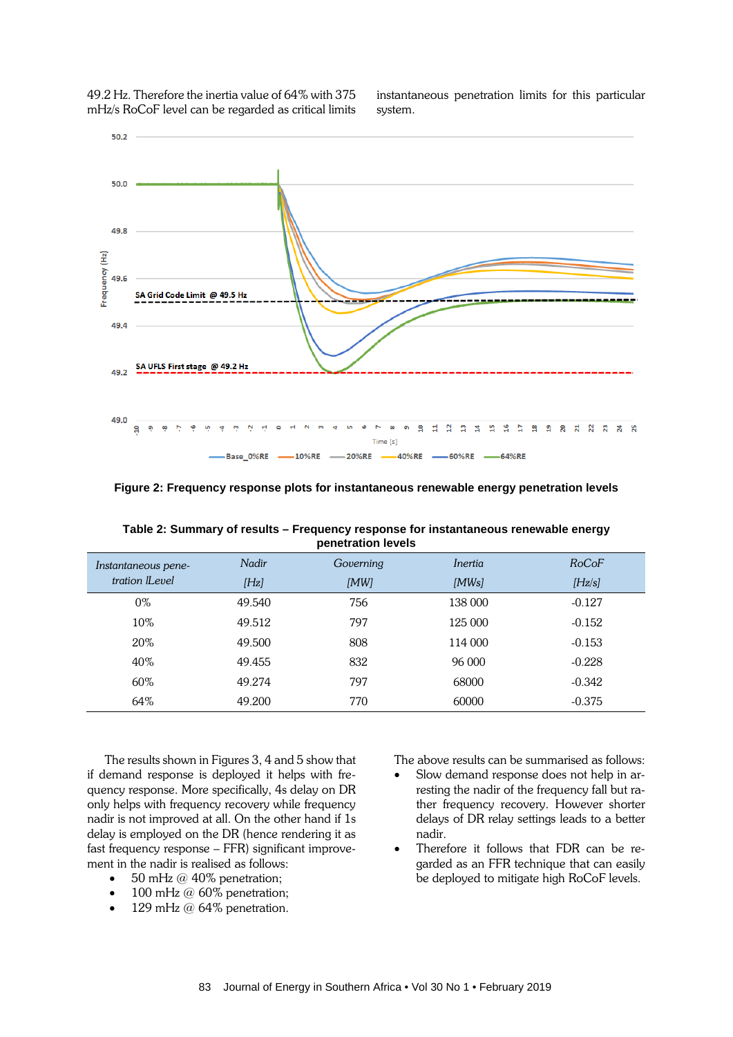49.2 Hz. Therefore the inertia value of 64% with 375 mHz/s RoCoF level can be regarded as critical limits instantaneous penetration limits for this particular system.



**Figure 2: Frequency response plots for instantaneous renewable energy penetration levels**

| <b>Peneuation ICACIS</b> |        |           |         |          |  |  |
|--------------------------|--------|-----------|---------|----------|--|--|
| Instantaneous pene-      | Nadir  | Governing | Inertia | RoCoF    |  |  |
| tration <i>Level</i>     | [Hz]   | [MW]      | [MWs]   | [Hz/s]   |  |  |
| 0%                       | 49.540 | 756       | 138 000 | $-0.127$ |  |  |
| $10\%$                   | 49.512 | 797       | 125 000 | $-0.152$ |  |  |
| 20%                      | 49.500 | 808       | 114 000 | $-0.153$ |  |  |
| 40%                      | 49.455 | 832       | 96 000  | $-0.228$ |  |  |
| 60%                      | 49.274 | 797       | 68000   | $-0.342$ |  |  |
| 64%                      | 49.200 | 770       | 60000   | $-0.375$ |  |  |

**Table 2: Summary of results – Frequency response for instantaneous renewable energy penetration levels**

The results shown in Figures 3, 4 and 5 show that if demand response is deployed it helps with frequency response. More specifically, 4s delay on DR only helps with frequency recovery while frequency nadir is not improved at all. On the other hand if 1s delay is employed on the DR (hence rendering it as fast frequency response – FFR) significant improvement in the nadir is realised as follows:

- 50 mHz  $@$  40% penetration;
- 100 mHz @ 60% penetration;
- 129 mHz  $@$  64% penetration.

The above results can be summarised as follows:

- Slow demand response does not help in arresting the nadir of the frequency fall but rather frequency recovery. However shorter delays of DR relay settings leads to a better nadir.
- Therefore it follows that FDR can be regarded as an FFR technique that can easily be deployed to mitigate high RoCoF levels.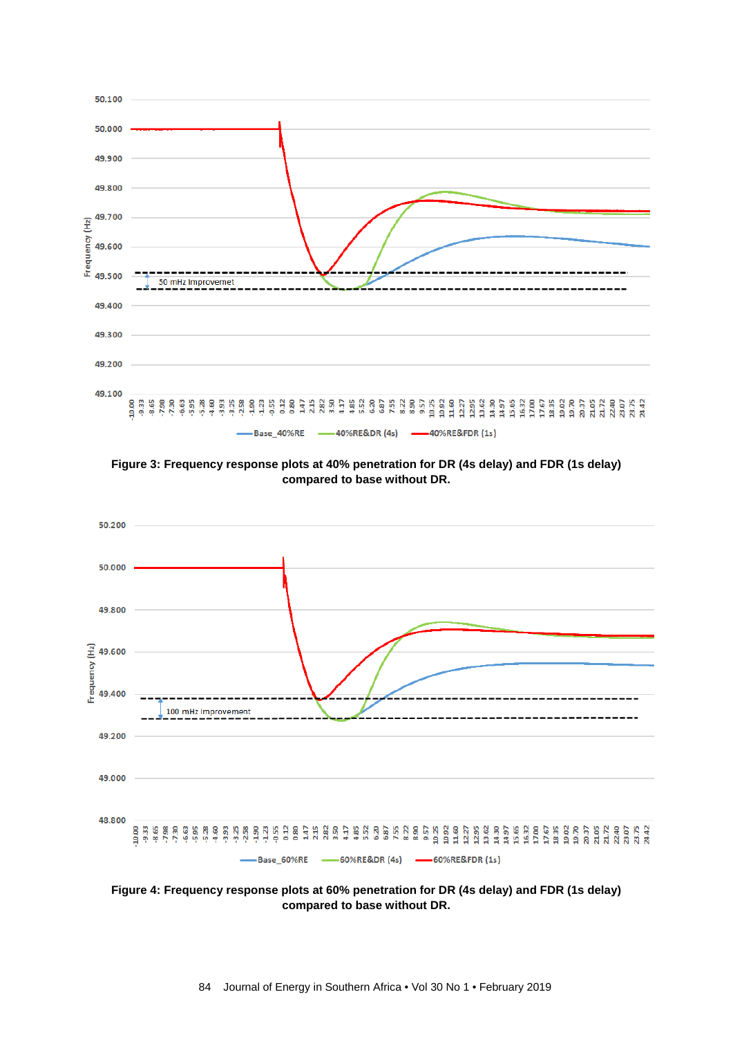

**Figure 3: Frequency response plots at 40% penetration for DR (4s delay) and FDR (1s delay) compared to base without DR.**



**Figure 4: Frequency response plots at 60% penetration for DR (4s delay) and FDR (1s delay) compared to base without DR.**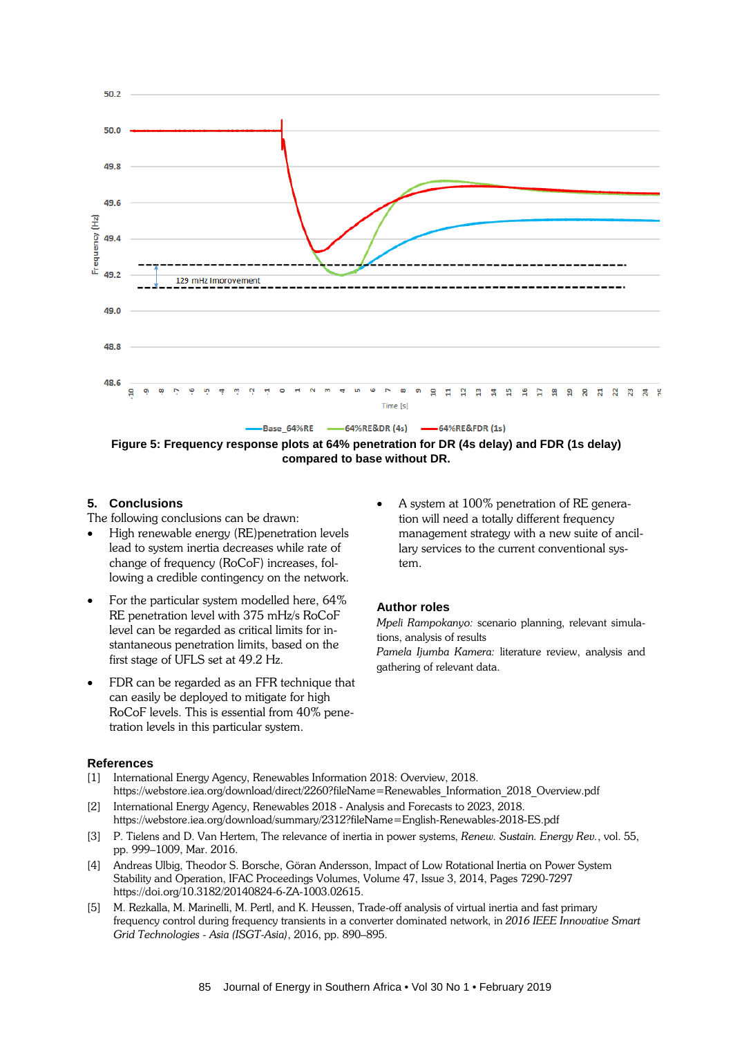

**Figure 5: Frequency response plots at 64% penetration for DR (4s delay) and FDR (1s delay) compared to base without DR.**

## **5. Conclusions**

The following conclusions can be drawn:

- High renewable energy (RE)penetration levels lead to system inertia decreases while rate of change of frequency (RoCoF) increases, following a credible contingency on the network.
- For the particular system modelled here, 64% RE penetration level with 375 mHz/s RoCoF level can be regarded as critical limits for instantaneous penetration limits, based on the first stage of UFLS set at 49.2 Hz.
- FDR can be regarded as an FFR technique that can easily be deployed to mitigate for high RoCoF levels. This is essential from 40% penetration levels in this particular system.
- **References**
- [1] International Energy Agency, Renewables Information 2018: Overview, 2018. [https://webstore.iea.org/download/direct/2260?fileName=Renewables\\_Information\\_2018\\_Overview.pdf](https://webstore.iea.org/download/direct/2260?fileName=Renewables_Information_2018_Overview.pdf)
- [2] International Energy Agency, Renewables 2018 Analysis and Forecasts to 2023, 2018. <https://webstore.iea.org/download/summary/2312?fileName=English-Renewables-2018-ES.pdf>
- [3] P. Tielens and D. Van Hertem, The relevance of inertia in power systems, *Renew. Sustain. Energy Rev.*, vol. 55, pp. 999–1009, Mar. 2016.
- [4] Andreas Ulbig, Theodor S. Borsche, Göran Andersson, Impact of Low Rotational Inertia on Power System Stability and Operation, IFAC Proceedings Volumes, Volume 47, Issue 3, 2014, Pages 7290-7297 https://doi.org/10.3182/20140824-6-ZA-1003.02615.
- [5] M. Rezkalla, M. Marinelli, M. Pertl, and K. Heussen, Trade-off analysis of virtual inertia and fast primary frequency control during frequency transients in a converter dominated network, in *2016 IEEE Innovative Smart Grid Technologies - Asia (ISGT-Asia)*, 2016, pp. 890–895.

• A system at 100% penetration of RE generation will need a totally different frequency management strategy with a new suite of ancillary services to the current conventional system.

# **Author roles**

*Mpeli Rampokanyo:* scenario planning, relevant simulations, analysis of results

*Pamela Ijumba Kamera:* literature review, analysis and gathering of relevant data.